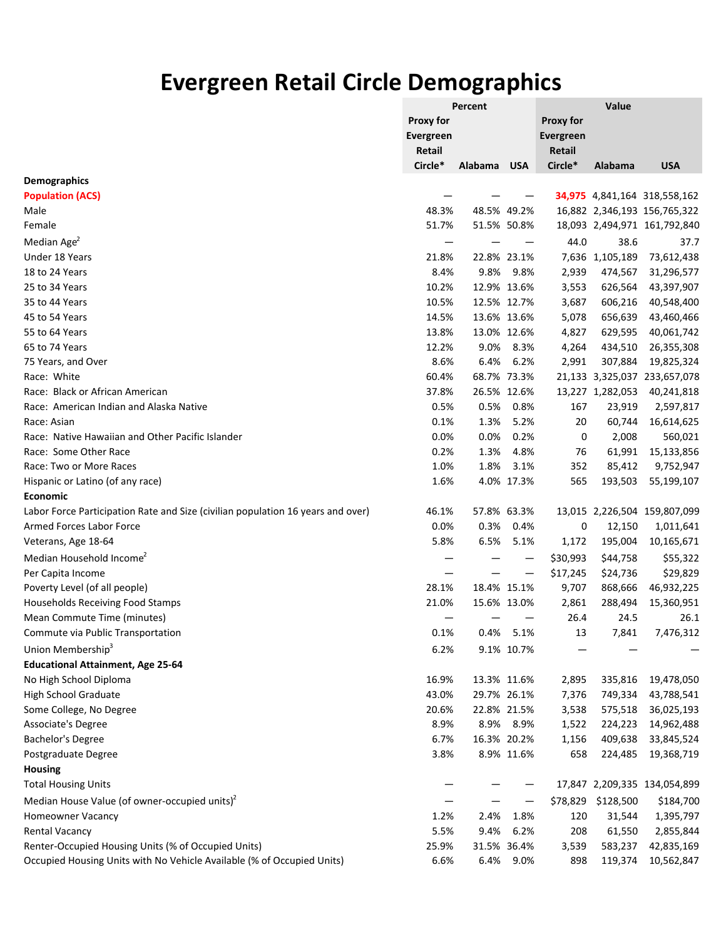## **Evergreen Retail Circle Demographics**

|                                                                                 |                  | Percent |             |                  | Value            |                              |  |  |
|---------------------------------------------------------------------------------|------------------|---------|-------------|------------------|------------------|------------------------------|--|--|
|                                                                                 | <b>Proxy for</b> |         |             |                  |                  |                              |  |  |
|                                                                                 | Evergreen        |         |             | <b>Evergreen</b> |                  |                              |  |  |
|                                                                                 | Retail           |         |             | <b>Retail</b>    |                  |                              |  |  |
|                                                                                 | Circle*          | Alabama | <b>USA</b>  | Circle*          | Alabama          | <b>USA</b>                   |  |  |
| <b>Demographics</b>                                                             |                  |         |             |                  |                  |                              |  |  |
| <b>Population (ACS)</b>                                                         |                  |         |             |                  |                  | 34,975 4,841,164 318,558,162 |  |  |
| Male                                                                            | 48.3%            |         | 48.5% 49.2% |                  |                  | 16,882 2,346,193 156,765,322 |  |  |
| Female                                                                          | 51.7%            |         | 51.5% 50.8% |                  |                  | 18,093 2,494,971 161,792,840 |  |  |
| Median Age <sup>2</sup>                                                         |                  |         |             | 44.0             | 38.6             | 37.7                         |  |  |
| Under 18 Years                                                                  | 21.8%            |         | 22.8% 23.1% |                  | 7,636 1,105,189  | 73,612,438                   |  |  |
| 18 to 24 Years                                                                  | 8.4%             | 9.8%    | 9.8%        | 2,939            | 474,567          | 31,296,577                   |  |  |
| 25 to 34 Years                                                                  | 10.2%            |         | 12.9% 13.6% | 3,553            | 626,564          | 43,397,907                   |  |  |
| 35 to 44 Years                                                                  | 10.5%            |         | 12.5% 12.7% | 3,687            | 606,216          | 40,548,400                   |  |  |
| 45 to 54 Years                                                                  | 14.5%            |         | 13.6% 13.6% | 5,078            | 656,639          | 43,460,466                   |  |  |
| 55 to 64 Years                                                                  | 13.8%            |         | 13.0% 12.6% | 4,827            | 629,595          | 40,061,742                   |  |  |
| 65 to 74 Years                                                                  | 12.2%            | 9.0%    | 8.3%        | 4,264            | 434,510          | 26,355,308                   |  |  |
| 75 Years, and Over                                                              | 8.6%             | 6.4%    | 6.2%        | 2,991            | 307,884          | 19,825,324                   |  |  |
| Race: White                                                                     | 60.4%            |         | 68.7% 73.3% |                  |                  | 21,133 3,325,037 233,657,078 |  |  |
| Race: Black or African American                                                 | 37.8%            |         | 26.5% 12.6% |                  | 13,227 1,282,053 | 40,241,818                   |  |  |
| Race: American Indian and Alaska Native                                         | 0.5%             | 0.5%    | 0.8%        | 167              | 23,919           | 2,597,817                    |  |  |
| Race: Asian                                                                     | 0.1%             | 1.3%    | 5.2%        | 20               | 60,744           | 16,614,625                   |  |  |
| Race: Native Hawaiian and Other Pacific Islander                                | 0.0%             | 0.0%    | 0.2%        | 0                | 2,008            | 560,021                      |  |  |
| Race: Some Other Race                                                           | 0.2%             | 1.3%    | 4.8%        | 76               | 61,991           | 15,133,856                   |  |  |
| Race: Two or More Races                                                         | 1.0%             | 1.8%    | 3.1%        | 352              | 85,412           | 9,752,947                    |  |  |
| Hispanic or Latino (of any race)                                                | 1.6%             |         | 4.0% 17.3%  | 565              | 193,503          | 55,199,107                   |  |  |
| <b>Economic</b>                                                                 |                  |         |             |                  |                  |                              |  |  |
| Labor Force Participation Rate and Size (civilian population 16 years and over) | 46.1%            |         | 57.8% 63.3% |                  |                  | 13,015 2,226,504 159,807,099 |  |  |
| <b>Armed Forces Labor Force</b>                                                 | 0.0%             | 0.3%    | 0.4%        | 0                | 12,150           | 1,011,641                    |  |  |
| Veterans, Age 18-64                                                             | 5.8%             | 6.5%    | 5.1%        | 1,172            | 195,004          | 10,165,671                   |  |  |
| Median Household Income <sup>2</sup>                                            |                  |         |             | \$30,993         | \$44,758         | \$55,322                     |  |  |
| Per Capita Income                                                               |                  |         |             | \$17,245         | \$24,736         | \$29,829                     |  |  |
| Poverty Level (of all people)                                                   | 28.1%            |         | 18.4% 15.1% | 9,707            | 868,666          | 46,932,225                   |  |  |
| Households Receiving Food Stamps                                                | 21.0%            |         | 15.6% 13.0% | 2,861            | 288,494          | 15,360,951                   |  |  |
| Mean Commute Time (minutes)                                                     | —                |         |             | 26.4             | 24.5             | 26.1                         |  |  |
| Commute via Public Transportation                                               | 0.1%             | 0.4%    | 5.1%        | 13               | 7,841            | 7,476,312                    |  |  |
| Union Membership <sup>3</sup>                                                   | 6.2%             |         | 9.1% 10.7%  |                  |                  |                              |  |  |
| <b>Educational Attainment, Age 25-64</b>                                        |                  |         |             |                  |                  |                              |  |  |
| No High School Diploma                                                          | 16.9%            |         | 13.3% 11.6% | 2,895            | 335,816          | 19,478,050                   |  |  |
| <b>High School Graduate</b>                                                     | 43.0%            |         | 29.7% 26.1% | 7,376            | 749,334          | 43,788,541                   |  |  |
| Some College, No Degree                                                         | 20.6%            |         | 22.8% 21.5% | 3,538            | 575,518          | 36,025,193                   |  |  |
| Associate's Degree                                                              | 8.9%             |         | 8.9% 8.9%   | 1,522            | 224,223          | 14,962,488                   |  |  |
| Bachelor's Degree                                                               | 6.7%             |         | 16.3% 20.2% | 1,156            | 409,638          | 33,845,524                   |  |  |
| Postgraduate Degree                                                             | 3.8%             |         | 8.9% 11.6%  | 658              | 224,485          | 19,368,719                   |  |  |
| Housing                                                                         |                  |         |             |                  |                  |                              |  |  |
|                                                                                 |                  |         |             |                  |                  |                              |  |  |
| <b>Total Housing Units</b>                                                      |                  |         |             |                  |                  | 17,847 2,209,335 134,054,899 |  |  |
| Median House Value (of owner-occupied units) <sup>2</sup>                       |                  |         |             | \$78,829         | \$128,500        | \$184,700                    |  |  |
| Homeowner Vacancy                                                               | 1.2%             | 2.4%    | 1.8%        | 120              | 31,544           | 1,395,797                    |  |  |
| <b>Rental Vacancy</b>                                                           | 5.5%             | 9.4%    | 6.2%        | 208              | 61,550           | 2,855,844                    |  |  |
| Renter-Occupied Housing Units (% of Occupied Units)                             | 25.9%            |         | 31.5% 36.4% | 3,539            | 583,237          | 42,835,169                   |  |  |
| Occupied Housing Units with No Vehicle Available (% of Occupied Units)          | 6.6%             |         | 6.4% 9.0%   | 898              | 119,374          | 10,562,847                   |  |  |